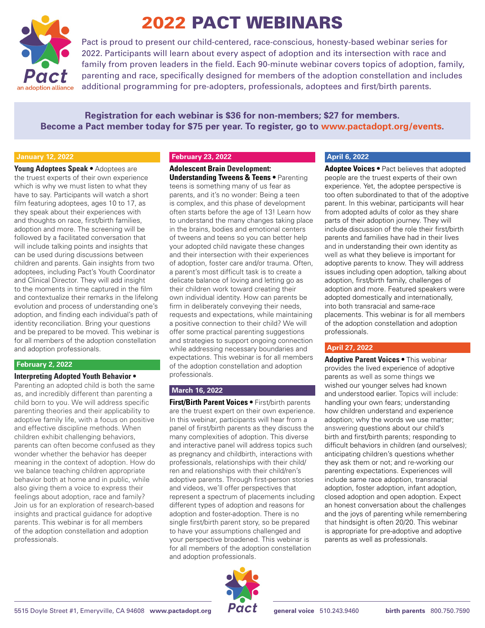

# 2022 PACT WEBINARS

Pact is proud to present our child-centered, race-conscious, honesty-based webinar series for 2022. Participants will learn about every aspect of adoption and its intersection with race and family from proven leaders in the field. Each 90-minute webinar covers topics of adoption, family, parenting and race, specifically designed for members of the adoption constellation and includes additional programming for pre-adopters, professionals, adoptees and first/birth parents.

**Registration for each webinar is \$36 for non-members; \$27 for members. Become a Pact member today for \$75 per year. To register, go to [www.pactadopt.org/events.](http://www.pactadopt.org/events)**

## **January 12, 2022**

**Young Adoptees Speak •** Adoptees are the truest experts of their own experience which is why we must listen to what they have to say. Participants will watch a short film featuring adoptees, ages 10 to 17, as they speak about their experiences with and thoughts on race, first/birth families, adoption and more. The screening will be followed by a facilitated conversation that will include talking points and insights that can be used during discussions between children and parents. Gain insights from two adoptees, including Pact's Youth Coordinator and Clinical Director. They will add insight to the moments in time captured in the film and contextualize their remarks in the lifelong evolution and process of understanding one's adoption, and finding each individual's path of identity reconciliation. Bring your questions and be prepared to be moved. This webinar is for all members of the adoption constellation and adoption professionals.

## **February 2, 2022**

## **Interpreting Adopted Youth Behavior •**

Parenting an adopted child is both the same as, and incredibly different than parenting a child born to you. We will address specific parenting theories and their applicability to adoptive family life, with a focus on positive and effective discipline methods. When children exhibit challenging behaviors, parents can often become confused as they wonder whether the behavior has deeper meaning in the context of adoption. How do we balance teaching children appropriate behavior both at home and in public, while also giving them a voice to express their feelings about adoption, race and family? Join us for an exploration of research-based insights and practical guidance for adoptive parents. This webinar is for all members of the adoption constellation and adoption professionals.

## **February 23, 2022**

**Adolescent Brain Development: Understanding Tweens & Teens • Parenting** teens is something many of us fear as parents, and it's no wonder: Being a teen is complex, and this phase of development often starts before the age of 13! Learn how to understand the many changes taking place in the brains, bodies and emotional centers of tweens and teens so you can better help your adopted child navigate these changes and their intersection with their experiences of adoption, foster care and/or trauma. Often, a parent's most difficult task is to create a delicate balance of loving and letting go as their children work toward creating their own individual identity. How can parents be firm in deliberately conveying their needs, requests and expectations, while maintaining a positive connection to their child? We will offer some practical parenting suggestions and strategies to support ongoing connection while addressing necessary boundaries and expectations. This webinar is for all members of the adoption constellation and adoption professionals.

## **March 16, 2022**

**First/Birth Parent Voices • First/birth parents** are the truest expert on their own experience. In this webinar, participants will hear from a panel of first/birth parents as they discuss the many complexities of adoption. This diverse and interactive panel will address topics such as pregnancy and childbirth, interactions with professionals, relationships with their child/ ren and relationships with their child/ren's adoptive parents. Through first-person stories and videos, we'll offer perspectives that represent a spectrum of placements including different types of adoption and reasons for adoption and foster-adoption. There is no single first/birth parent story, so be prepared to have your assumptions challenged and your perspective broadened. This webinar is for all members of the adoption constellation and adoption professionals.

## **April 6, 2022**

**Adoptee Voices •** Pact believes that adopted people are the truest experts of their own experience. Yet, the adoptee perspective is too often subordinated to that of the adoptive parent. In this webinar, participants will hear from adopted adults of color as they share parts of their adoption journey. They will include discussion of the role their first/birth parents and families have had in their lives and in understanding their own identity as well as what they believe is important for adoptive parents to know. They will address issues including open adoption, talking about adoption, first/birth family, challenges of adoption and more. Featured speakers were adopted domestically and internationally, into both transracial and same-race placements. This webinar is for all members of the adoption constellation and adoption professionals.

## **April 27, 2022**

**Adoptive Parent Voices •** This webinar provides the lived experience of adoptive parents as well as some things we wished our younger selves had known and understood earlier. Topics will include: handling your own fears; understanding how children understand and experience adoption; why the words we use matter; answering questions about our child's birth and first/birth parents; responding to difficult behaviors in children (and ourselves); anticipating children's questions whether they ask them or not; and re-working our parenting expectations. Experiences will include same race adoption, transracial adoption, foster adoption, infant adoption, closed adoption and open adoption. Expect an honest conversation about the challenges and the joys of parenting while remembering that hindsight is often 20/20. This webinar is appropriate for pre-adoptive and adoptive parents as well as professionals.